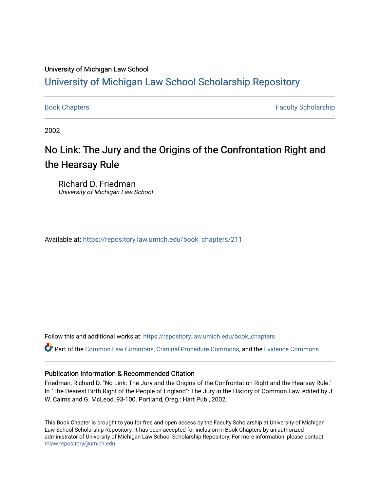### University of Michigan Law School

### [University of Michigan Law School Scholarship Repository](https://repository.law.umich.edu/)

[Book Chapters](https://repository.law.umich.edu/book_chapters) Faculty Scholarship

2002

## No Link: The Jury and the Origins of the Confrontation Right and the Hearsay Rule

Richard D. Friedman University of Michigan Law School

Available at: [https://repository.law.umich.edu/book\\_chapters/211](https://repository.law.umich.edu/book_chapters/211) 

Follow this and additional works at: [https://repository.law.umich.edu/book\\_chapters](https://repository.law.umich.edu/book_chapters?utm_source=repository.law.umich.edu%2Fbook_chapters%2F211&utm_medium=PDF&utm_campaign=PDFCoverPages)

Part of the [Common Law Commons,](http://network.bepress.com/hgg/discipline/1120?utm_source=repository.law.umich.edu%2Fbook_chapters%2F211&utm_medium=PDF&utm_campaign=PDFCoverPages) [Criminal Procedure Commons,](http://network.bepress.com/hgg/discipline/1073?utm_source=repository.law.umich.edu%2Fbook_chapters%2F211&utm_medium=PDF&utm_campaign=PDFCoverPages) and the [Evidence Commons](http://network.bepress.com/hgg/discipline/601?utm_source=repository.law.umich.edu%2Fbook_chapters%2F211&utm_medium=PDF&utm_campaign=PDFCoverPages) 

### Publication Information & Recommended Citation

Friedman, Richard D. "No Link: The Jury and the Origins of the Confrontation Right and the Hearsay Rule." In "The Dearest Birth Right of the People of England": The Jury in the History of Common Law, edited by J. W. Cairns and G. McLeod, 93-100. Portland, Oreg.: Hart Pub., 2002.

This Book Chapter is brought to you for free and open access by the Faculty Scholarship at University of Michigan Law School Scholarship Repository. It has been accepted for inclusion in Book Chapters by an authorized administrator of University of Michigan Law School Scholarship Repository. For more information, please contact [mlaw.repository@umich.edu.](mailto:mlaw.repository@umich.edu)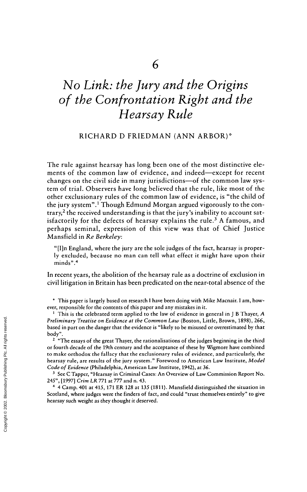# *No Link: the Jury and the Origins of the Confrontation Right and the Hearsay Rule*

#### RICHARD D FRIEDMAN (ANN ARBOR)\*

The rule against hearsay has long been one of the most distinctive elements of the common law of evidence, and indeed—except for recent changes on the civil side in many jurisdictions—of the common law system of trial. Observers have long believed that the rule, like most of the other exclusionary rules of the common law of evidence, is "the child of the jury system".<sup>1</sup> Though Edmund Morgan argued vigorously to the contrary,<sup>2</sup> the received understanding is that the jury's inability to account satisfactorily for the defects of hearsay explains the rule.<sup>3</sup> A famous, and perhaps seminal, expression of this view was that of Chief Justice Mansfield in Re *Berkeley:*

"[I]n England, where the jury are the sole judges of the fact, hearsay is properly excluded, because no man can tell what effect it might have upon their minds".4

In recent years, the abolition of the hearsay rule as a doctrine of exclusion in civil litigation in Britain has been predicated on the near-total absence of the

\* This paper is largely based on research I have been doing with Mike Macnair. I am, however, responsible for the contents of this paper and any mistakes in it. <sup>1</sup>

 This is the celebrated term applied to the law of evidence in general in J B Thayer, *A Preliminary Treatise on Evidence at the Common Law* (Boston, Little, Brown, 1898), 266, based in part on the danger that the evidence is "likely to be misused or overestimated by that body".

<sup>2</sup> "The essays of the great Thayer, the rationalisations of the judges beginning in the third or fourth decade of the 19th century and the acceptance of these by Wigmore have combined to make orthodox the fallacy that the exclusionary rules of evidence, and particularly, the hearsay rule, are results of the jury system." Foreword to American Law Institute, *Model Code of Evidence* (Philadelphia, American Law Institute, 1942), at 36.

<sup>3</sup> See C Tapper, "Hearsay in Criminal Cases: An Overview of Law Commission Report No. 245", [1997] *Crim LR* 771 at 777 and n. 43. <sup>4</sup>

 4 Camp. 401 at 415, 171 ER 128 at 135 (1811). Mansfield distinguished the situation in Scotland, where judges were the finders of fact, and could "trust themselves entirely" to give hearsay such weight as they thought it deserved.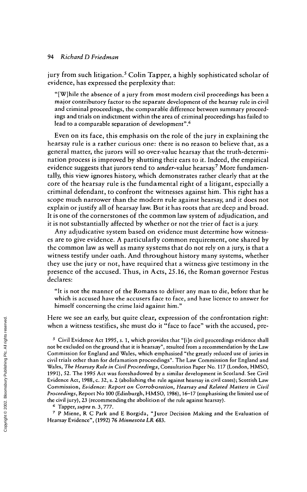jury from such litigation.<sup>5</sup> Colin Tapper, a highly sophisticated scholar of evidence, has expressed the perplexity that:

"[W]hile the absence of a jury from most modern civil proceedings has been a major contributory factor to the separate development of the hearsay rule in civil and criminal proceedings, the comparable difference between summary proceedings and trials on indictment within the area of criminal proceedings has failed to lead to a comparable separation of development".6

Even on its face, this emphasis on the role of the jury in explaining the hearsay rule is a rather curious one: there is no reason to believe that, as a general matter, the jurors will so over-value hearsay that the truth-determination process is improved by shutting their ears to it. Indeed, the empirical evidence suggests that jurors tend to *under-*value hearsay.7 More fundamentally, this view ignores history, which demonstrates rather clearly that at the core of the hearsay rule is the fundamental right of a litigant, especially a criminal defendant, to confront the witnesses against him. This right has a scope much narrower than the modern rule against hearsay, and it does not explain or justify all of hearsay law. But it has roots that are deep and broad. It is one of the cornerstones of the common law system of adjudication, and it is not substantially affected by whether or not the trier of fact is a jury.

Any adjudicative system based on evidence must determine how witnesses are to give evidence. A particularly common requirement, one shared by the common law as well as many systems that do not rely on a jury, is that a witness testify under oath. And throughout history many systems, whether they use the jury or not, have required that a witness give testimony in the presence of the accused. Thus, in Acts, 25.16, the Roman governor Festus declares:

"It is not the manner of the Romans to deliver any man to die, before that he which is accused have the accusers face to face, and have licence to answer for himself concerning the crime laid against him."

Here we see an early, but quite clear, expression of the confrontation right: when a witness testifies, she must do it "face to face" with the accused, pre-

 $5$  Civil Evidence Act 1995, s. 1, which provides that "[i]n civil proceedings evidence shall not be excluded on the ground that it is hearsay", resulted from a recommendation by the Law Commission for England and Wales, which emphasised "the greatly reduced use of juries in civil trials other than for defamation proceedings". The Law Commission for England and Wales, *The Hearsay Rule in Civil Proceedings,* Consultation Paper No. 117 (London, HMSO, 1991), 52. The 1995 Act was foreshadowed by a similar development in Scotland. See Civil Evidence Act, 1988, c. 32, s. 2 (abolishing the rule against hearsay in civil cases); Scottish Law Commission, *Evidence: Report on Corroboration, Hearsay and Related Matters in Civil Proceedings,* Report No 100 (Edinburgh, HMSO, 1986), 16-17 (emphasising the limited use of the civil jury), 23 (recommending the abolition of the rule against hearsay).

<sup>6</sup> Tapper, *supra* n. 3, 777.

 P Miene, R C Park and E Borgida, "Juror Decision Making and the Evaluation of Hearsay Evidence", (1992) 76 *Minnesota LR* 683.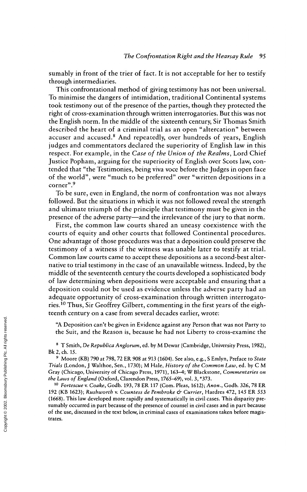sumably in front of the trier of fact. It is not acceptable for her to testify through intermediaries.

This confrontational method of giving testimony has not been universal. To minimise the dangers of intimidation, traditional Continental systems took testimony out of the presence of the parties, though they protected the right of cross-examination through written interrogatories. But this was not the English norm. In the middle of the sixteenth century, Sir Thomas Smith described the heart of a criminal trial as an open "altercation" between accuser and accused.<sup>8</sup> And repeatedly, over hundreds of years, English judges and commentators declared the superiority of English law in this respect. For example, in the *Case of the Union of the Realms,* Lord Chief Justice Popham, arguing for the superiority of English over Scots law, contended that "the Testimonies, being viva voce before the Judges in open face of the world", were "much to be preferred" over "written depositions in a corner".<sup>9</sup>

To be sure, even in England, the norm of confrontation was not always followed. But the situations in which it was not followed reveal the strength and ultimate triumph of the principle that testimony must be given in the presence of the adverse party—and the irrelevance of the jury to that norm.

First, the common law courts shared an uneasy coexistence with the courts of equity and other courts that followed Continental procedures. One advantage of those procedures was that a deposition could preserve the testimony of a witness if the witness was unable later to testify at trial. Common law courts came to accept these depositions as a second-best alternative to trial testimony in the case of an unavailable witness. Indeed, by the middle of the seventeenth century the courts developed a sophisticated body of law determining when depositions were acceptable and ensuring that a deposition could not be used as evidence unless the adverse party had an adequate opportunity of cross-examination through written interrogatories.<sup>10</sup> Thus, Sir Geoffrey Gilbert, commenting in the first years of the eighteenth century on a case from several decades earlier, wrote:

"A Deposition can't be given in Evidence against any Person that was not Party to the Suit, and the Reason is, because he had not Liberty to cross-examine the

8 T Smith, *De Republica Anglorum,* ed. by M Dewar (Cambridge, University Press, 1982), Bk2,ch. 15. <sup>9</sup>

 Moore (KB) 790 at 798, 72 ER 908 at 913 (1604). See also, e.g., S Emlyn, Preface to *State Trials* (London, J Walthoe, Sen., 1730); M Hale, *History of the Common Law,* ed. by C M Gray (Chicago, University of Chicago Press, 1971), 163—4; W Blackstone, *Commentaries on the Laws of England* (Oxford, Clarendon Press, 1765–69), vol. 3, \*373.

 *Fortescue* v. *Coake,* Godb. 193, 78 ER 117 (Com. Pleas, 1612); *Anon.,* Godb. 326, 78 ER 192 (KB 1623); *Rushworth* v. *Countess de Pembroke & Currier,* Hardres 472, 145 ER 553 (1668). This law developed more rapidly and systematically in civil cases. This disparity presumably occurred in part because of the presence of counsel in civil cases and in part because of the use, discussed in the text below, in criminal cases of examinations taken before magistrates.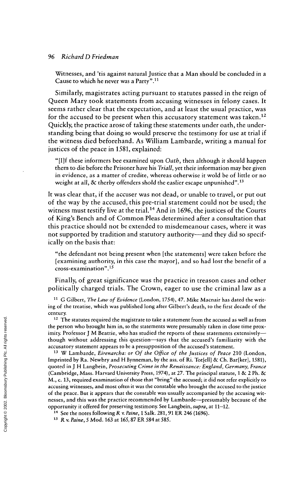Witnesses, and 'tis against natural Justice that a Man should be concluded in a Cause to which he never was a Party".<sup>11</sup>

Similarly, magistrates acting pursuant to statutes passed in the reign of Queen Mary took statements from accusing witnesses in felony cases. It seems rather clear that the expectation, and at least the usual practice, was for the accused to be present when this accusatory statement was taken.<sup>12</sup> Quickly, the practice arose of taking these statements under oath, the understanding being that doing so would preserve the testimony for use at trial if the witness died beforehand. As William Lambarde, writing a manual for justices of the peace in 1581, explained:

"[I]f these informers bee examined upon *Oath,* then although it should happen them to die before the Prisoner have his *Triall,* yet their information may bee given in evidence, as a matter of credite, whereas otherwise it wold be of little or no weight at all, & therby offenders shold the easlier escape unpunished".<sup>13</sup>

It was clear that, if the accuser was not dead, or unable to travel, or put out of the way by the accused, this pre-trial statement could not be used; the witness must testify live at the trial.<sup>14</sup> And in 1696, the justices of the Courts of King's Bench and of Common Pleas determined after a consultation that this practice should not be extended to misdemeanour cases, where it was not supported by tradition and statutory authority—and they did so specifically on the basis that:

"the defendant not being present when [the statements] were taken before the [examining authority, in this case the mayor], and so had lost the benefit of a cross-examination".<sup>15</sup>

Finally, of great significance was the practice in treason cases and other politically charged trials. The Crown, eager to use the criminal law as a

<sup>11</sup> G Gilbert, *The Law of Evidence* (London, 1754), 47. Mike Macnair has dated the writ-<br>ing of the treatise, which was published long after Gilbert's death, to the first decade of the century.

<sup>12</sup> The statutes required the magistrate to take a statement from the accused as well as from the person who brought him in, so the statements were presumably taken in close time proximity. Professor J M Beattie, who has studied the reports of these statements extensively though without addressing this question—says that the accused's familiarity with the accusatory statement appears to be a presupposition of the accused's statement.

13 W Lambarde, *Eirenarcha: or Of the Office of the Justices of Peace* 210 (London, Imprinted by Ra. Newbry and H Bynneman, by the ass. of Ri. Tot[ell] & Ch. Bar[ker], 1581), quoted in J H Langbein, *Prosecuting Crime in the Renaissance: England, Germany, France* (Cambridge, Mass. Harvard University Press, 1974), at 27. The principal statute, 1 & 2 Ph. & M., c. 13, required examination of those that "bring" the accused; it did not refer explicitly to accusing witnesses, and most often it was the constable who brought the accused to the justice of the peace. But it appears that the constable was usually accompanied by the accusing witnesses, and this was the practice recommended by Lambarde—presumably because of the opportunity it offered for preserving testimony. See Langbein, *supra,* at 11-12.

<sup>14</sup> See the notes following *R* v. *Paine*, 1 Salk. 281, 91 ER 246 (1696).

 *R* v. *Paine, 5* Mod. 163 at 165, 87 ER 584 at 585.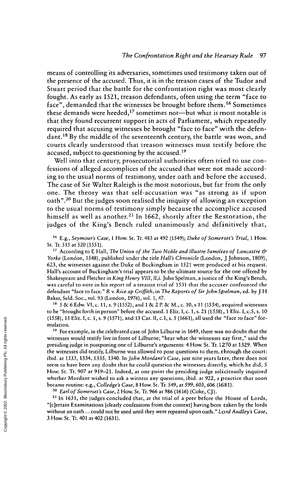means of controlling its adversaries, sometimes used testimony taken out of the presence of the accused. Thus, it is in the treason cases of the Tudor and Stuart period that the battle for the confrontation right was most clearly fought. As early as 1521, treason defendants, often using the term "face to face", demanded that the witnesses be brought before them.16 Sometimes these demands were heeded, $^{17}$  sometimes not—but what is most notable is that they found recurrent support in acts of Parliament, which repeatedly required that accusing witnesses be brought "face to face" with the defendant.<sup>18</sup> By the middle of the seventeenth century, the battle was won, and courts clearly understood that treason witnesses must testify before the accused, subject to questioning by the accused.19

Well into that century, prosecutorial authorities often tried to use confessions of alleged accomplices of the accused that were not made according to the usual norms of testimony, under oath and before the accused. The case of Sir Walter Raleigh is the most notorious, but far from the only one. The theory was that self-accusation was "as strong as if upon oath".<sup>20</sup> But the judges soon realised the iniquity of allowing an exception to the usual norms of testimony simply because the accomplice accused himself as well as another.<sup>21</sup> In 1662, shortly after the Restoration, the judges of the King's Bench ruled unanimously and definitively that,

16 E.g., *Seymour's Case,* 1 How. St. Tr. 483 at 492 (1549); *Duke of Somerset's Trial,* 1 How. St. Tr. 515 at 520 (1551).

17 According to E Hall, *The Union of the Two Noble and Illustre Famelies of Lancastre & Yorke* (London, 1548), published under the title *Hall's Chronicle* (London, J Johnson, 1809), 623, the witnesses against the Duke of Buckingham in 1521 were produced at his request. Hall's account of Buckingham's trial appears to be the ultimate source for the one offered by Shakespeare and Fletcher in *King Henry VIII,* II,i. John Spelman, a justice of the King's Bench, was careful to note in his report of a treason trial of 1531 that the accuser confronted the defendant "face to face." R v. *Rice ap Griffith,* in *The Reports of Sir John Spelman,* ed. by J H Baker, Seld. Soc , vol. 93 (London, 1976), vol. 1, 47.

18 5 & 6 Edw. VI, c. 11, s. 9 (1552), and 1 & 2 P. & M., c. 10, s 11 (1554), required witnesses to be "brought forth in person" before the accused. 1 Eliz. I, c. 1, s. 21 (1558), 1 Eliz. I, c.5, s. 10 (1558), 13 Eliz. I, c. 1, s. 9 (1571), and 13 Car. II, c.l, s. 5 (1661), all used the "face to face" formulation.

<sup>19</sup> For example, in the celebrated case of John Lilburne in 1649, there was no doubt that the witnesses would testify live in front of Lilburne; "hear what the witnesses say first," said the presiding judge in postponing one of Lilburne's arguments: 4 How. St. Tr. 1270 at 1329. When the witnesses did testify, Lilburne was allowed to pose questions to them, through the court: ibid, at 1333, 1334, 1335, 1340. In *John Mordant's Case,* just nine years later, there does not seem to have been any doubt that he could question the witnesses directly, which he did, 5 How. St. Tr. 907 at 919-21. Indeed, at one point the presiding judge solicitously inquired whether Mordant wished to ask a witness any questions, ibid. at 922, a practice that soon became routine: e.g., *Colledge's Case,* 8 How. St. Tr. 549, at 599, 603, 606 (1681).

20  *Earl of Somerset's Case,* 2 How. St. Tr. 966 at 986 (1616) (Coke, CJ).

<sup>21</sup> In 1631, the judges concluded that, at the trial of a peer before the House of Lords, "[c]ertain Examinations [clearly confessions from the context] having been taken by the lords without an oath ... could not be used until they were repeated upon oath. " *Lord Audley's Case,* 3 How. St. Tr. 401 at 402 (1631).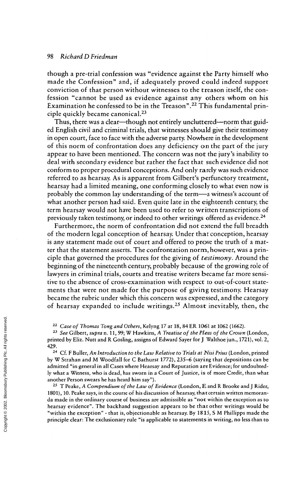though a pre-trial confession was "evidence against the Party himself who made the Confession" and, if adequately proved could indeed support conviction of that person without witnesses to the treason itself, the confession "cannot be used as evidence against any others whom on his Examination he confessed to be in the Treason".<sup>22</sup> This fundamental principle quickly became canonical.<sup>23</sup>

Thus, there was a clear—though not entirely uncluttered—norm that guided English civil and criminal trials, that witnesses should give their testimony in open court, face to face with the adverse party. Nowhere in the development of this norm of confrontation does any deficiency on the part of the jury appear to have been mentioned. The concern was not the jury's inability to deal with secondary evidence but rather the fact that such evidence did not conform to proper procedural conceptions. And only rarely was such evidence referred to as hearsay. As is apparent from Gilbert's perfunctory treatment, hearsay had a limited meaning, one conforming closely to what even now is probably the common lay understanding of the term—a witness's account of what another person had said. Even quite late in the eighteenth century, the term hearsay would not have been used to refer to written transcriptions of previously taken testimony, or indeed to other writings offered as evidence.<sup>24</sup>

Furthermore, the norm of confrontation did not extend the full breadth of the modern legal conception of hearsay. Under that conception, hearsay is any statement made out of court and offered to prove the truth of a matter that the statement asserts. The confrontation norm, however, was a principle that governed the procedures for the giving of *testimony.* Around the beginning of the nineteenth century, probably because of the growing role of lawyers in criminal trials, courts and treatise writers became far more sensitive to the absence of cross-examination with respect to out-of-court statements that were not made for the purpose of giving testimony. Hearsay became the rubric under which this concern was expressed, and the category of hearsay expanded to include writings.<sup>25</sup> Almost inevitably, then, the

<sup>22</sup> Case of Thomas Tong and Others, Kelyng 17 at 18, 84 ER 1061 at 1062 (1662).

23  *See* Gilbert, *supra* n. 11, 99; W Hawkins, *A Treatise of the Pleas of the Crown* (London, printed by Eliz. Nutt and R Gosling, assigns of Edward Sayer for J Walthoe jun., 1721), vol. 2, 429.

<sup>24</sup> Cf. F Buller, *An Introduction to the Law Relative to Trials at Nisi Prius* (London, printed by W Strahan and M Woodfall for C Bathurst 1772), 235-6 (saying that depositions can be admitted "in general in all Cases where Hearsay and Reputation are Evidence; for undoubtedly what a Witness, who is dead, has sworn in a Court of Justice, is of more Credit, than what another Person swears he has heard him say").

25 T Peake, *A Compendium of the Law of Evidence* (London, E and R Brooke and J Rider, 1801), 10. Peake says, in the course of his discussion of hearsay, tha t certain written memoranda made in the ordinary course of business are admissible as "not within the exception as to hearsay evidence". The backhand suggestion appears to be that other writings would be "within the exception" - that is, objectionable as hearsay. By 1815, S M Phillipps made the principle clear: The exclusionary rule "is applicable to statements in writing, no less than to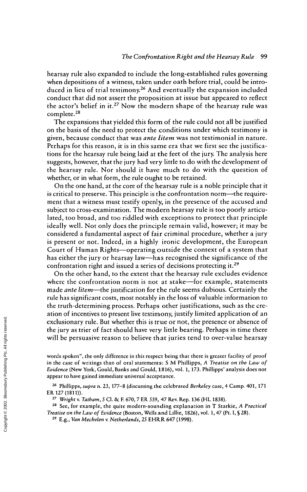hearsay rule also expanded to include the long-established rules governing when depositions of a witness, taken under oath before trial, could be introduced in lieu of trial testimony.26 And eventually the expansion included conduct that did not assert the proposition at issue but appeared to reflect the actor's belief in it.<sup>27</sup> Now the modern shape of the hearsay rule was complete.28

The expansions that yielded this form of the rule could not all be justified on the basis of the need to protect the conditions under which testimony is given, because conduct that was *ante litem* was not testimonial in nature. Perhaps for this reason, it is in this same era that we first see the justifications for the hearsay rule being laid at the feet of the jury. The analysis here suggests, however, that the jury had very little to do with the development of the hearsay rule. Nor should it have much to do with the question of whether, or in what form, the rule ought to be retained.

On the one hand, at the core of the hearsay rule is a noble principle that it is critical to preserve. This principle is the confrontation norm—the requirement that a witness must testify openly, in the presence of the accused and subject to cross-examination. The modern hearsay rule is too poorly articulated, too broad, and too riddled with exceptions to protect that principle ideally well. Not only does the principle remain valid, however; it may be considered a fundamental aspect of fair criminal procedure, whether a jury is present or not. Indeed, in a highly ironic development, the European Court of Human Rights—operating outside the context of a system that has either the jury or hearsay law—has recognised the significance of the confrontation right and issued a series of decisions protecting it.29

On the other hand, to the extent that the hearsay rule excludes evidence where the confrontation norm is not at stake—for example, statements made *ante litem*—the justification for the rule seems dubious. Certainly the rule has significant costs, most notably in the loss of valuable information to the truth-determining process. Perhaps other justifications, such as the creation of incentives to present live testimony, justify limited application of an exclusionary rule. But whether this is true or not, the presence or absence of the jury as trier of fact should have very little bearing. Perhaps in time there will be persuasive reason to believe that juries tend to over-value hearsay

<sup>26</sup> Phillipps, *supra* n. 23, 177–8 (discussing the celebrated *Berkeley* case, 4 Camp. 401, 171 ER 127 (1811)).

words spoken", the only difference in this respect being that there is greater facility of proof in the case of writings than of oral statements: S M Phillipps, *A Treatise on the Law of Evidence* (New York, Gould, Banks and Gould, 1816), vol. 1, 173. Phillipps' analysis does not appear to have gained immediate universal acceptance.

<sup>27</sup>  *Wright* v. *Tatham,* 5 Cl. & F. 670, 7 ER 559, 4 7 Rev. Rep. 136 (HL 1838).

<sup>28</sup> See, for example, the quite modern-sounding explanation in T Starkie, *A Practical Treatise on the Law of Evidence* (Boston, Wells and Lillie, 1826), vol. 1,47 (Pt. I, S 28).

<sup>29</sup> E.g., *Van Mechelen v. Netherlands,* 25 EHR R 647 (1998).